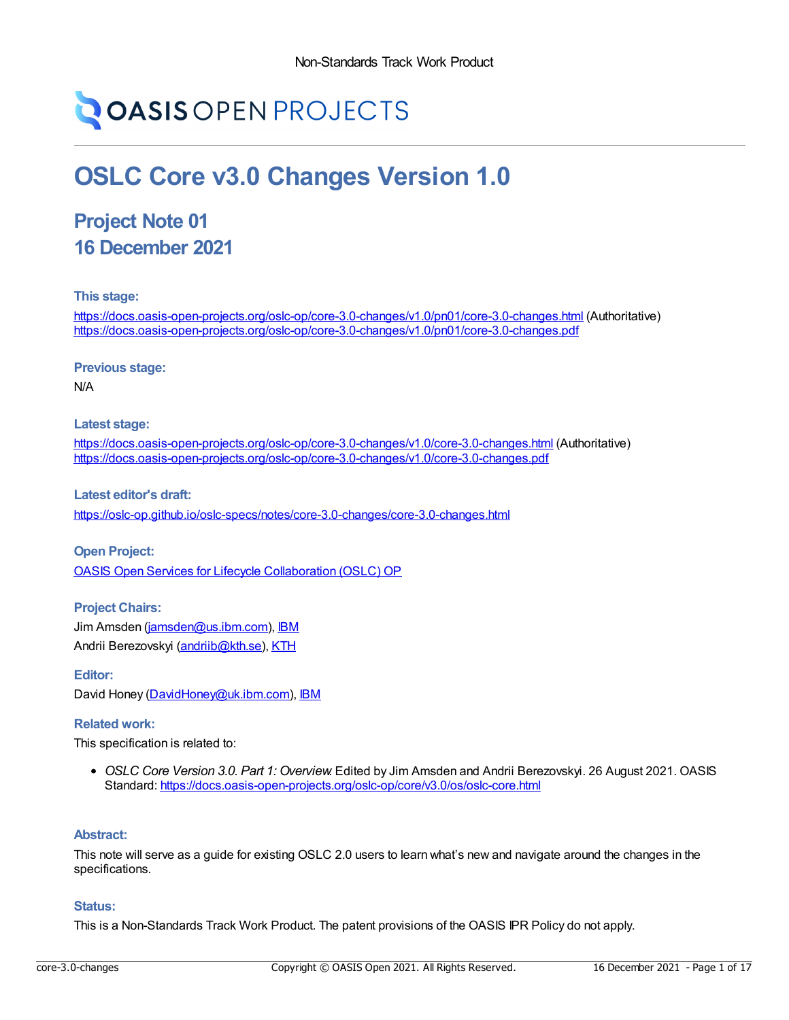# **OASIS OPEN PROJECTS**

## **OSLC Core v3.0 Changes Version 1.0**

### **Project Note 01 16 December 2021**

**This stage:**

<https://docs.oasis-open-projects.org/oslc-op/core-3.0-changes/v1.0/pn01/core-3.0-changes.html> (Authoritative) <https://docs.oasis-open-projects.org/oslc-op/core-3.0-changes/v1.0/pn01/core-3.0-changes.pdf>

**Previous stage:**

N/A

**Latest stage:**

<https://docs.oasis-open-projects.org/oslc-op/core-3.0-changes/v1.0/core-3.0-changes.html> (Authoritative) <https://docs.oasis-open-projects.org/oslc-op/core-3.0-changes/v1.0/core-3.0-changes.pdf>

**Latest editor's draft:** <https://oslc-op.github.io/oslc-specs/notes/core-3.0-changes/core-3.0-changes.html>

**Open Project:** OASIS Open Services for Lifecycle [Collaboration](https://open-services.net/about/) (OSLC) OP

**Project Chairs:** Jim Amsden [\(jamsden@us.ibm.com\)](mailto:jamsden@us.ibm.com), [IBM](https://www.ibm.com/) Andrii Berezovskyi [\(andriib@kth.se](mailto:andriib@kth.se)), [KTH](https://www.kth.se/en)

**Editor:** David Honey [\(DavidHoney@uk.ibm.com](mailto:DavidHoney@uk.ibm.com)), [IBM](https://www.ibm.com/)

#### **Related work:**

This specification is related to:

*OSLC Core Version 3.0. Part 1: Overview*. Edited by Jim Amsden and Andrii Berezovskyi. 26 August 2021. OASIS Standard: <https://docs.oasis-open-projects.org/oslc-op/core/v3.0/os/oslc-core.html>

#### **Abstract:**

This note will serve as a guide for existing OSLC 2.0 users to learn what's new and navigate around the changes in the specifications.

#### **Status:**

This is a Non-Standards Track Work Product. The patent provisions of the OASIS IPR Policy do not apply.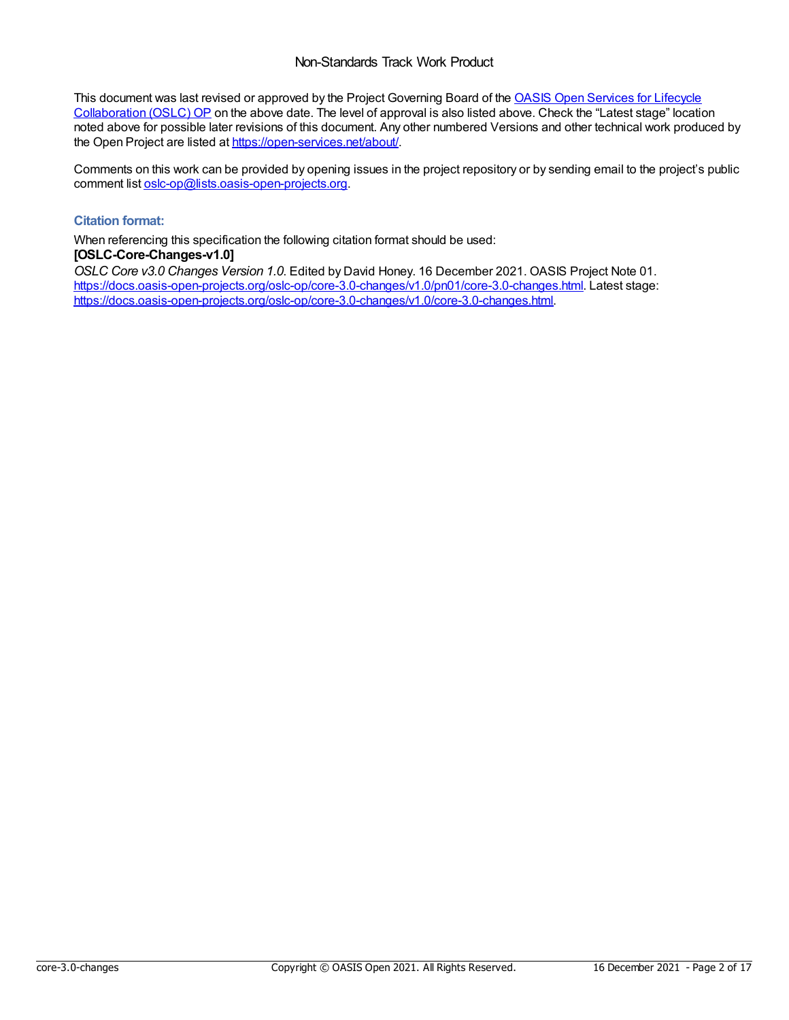This document was last revised or approved by the Project Governing Board of the OASIS Open Services for Lifecycle [Collaboration](https://open-services.net/about/) (OSLC) OP on the above date. The level of approval is also listed above. Check the "Latest stage" location noted above for possible later revisions of this document. Any other numbered Versions and other technical work produced by the Open Project are listed at <https://open-services.net/about/>.

Comments on this work can be provided by opening issues in the project repository or by sending email to the project's public comment list [oslc-op@lists.oasis-open-projects.org](mailto:oslc-op@lists.oasis-open-projects.org).

#### **Citation format:**

When referencing this specification the following citation format should be used: **[OSLC-Core-Changes-v1.0]**

*OSLC Core v3.0 Changes Version 1.0*. Edited by David Honey. 16 December 2021. OASIS Project Note 01. <https://docs.oasis-open-projects.org/oslc-op/core-3.0-changes/v1.0/pn01/core-3.0-changes.html>. Latest stage: <https://docs.oasis-open-projects.org/oslc-op/core-3.0-changes/v1.0/core-3.0-changes.html>.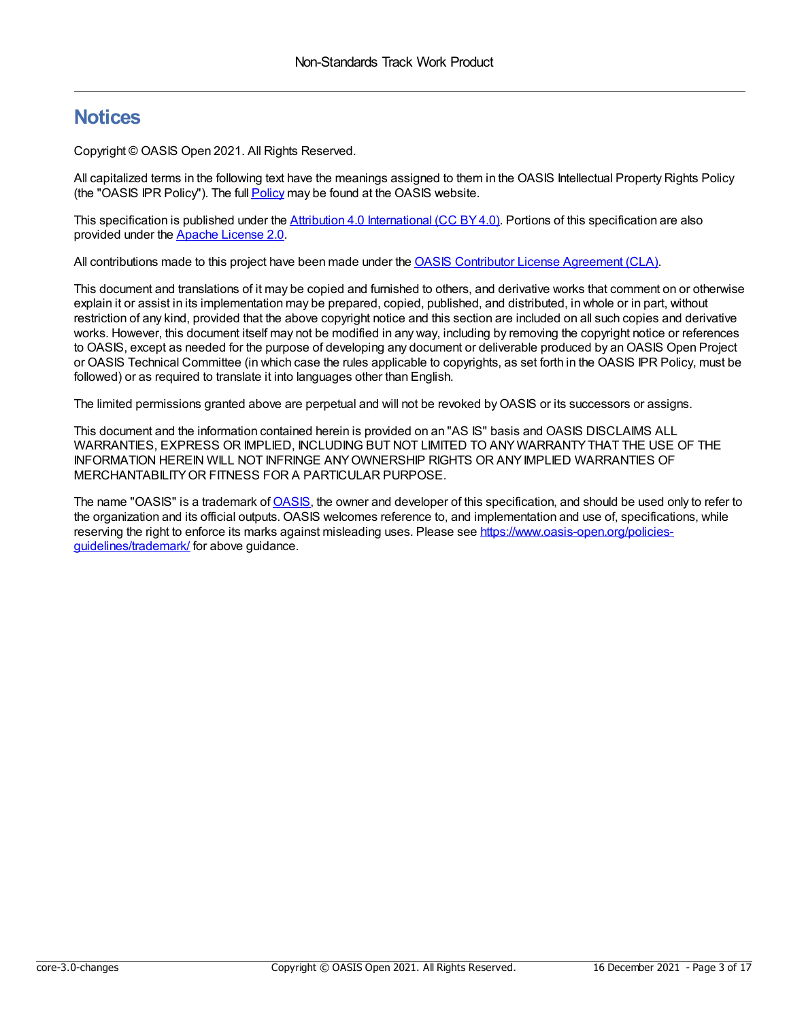#### **Notices**

Copyright © OASIS Open 2021. All Rights Reserved.

All capitalized terms in the following text have the meanings assigned to them in the OASIS Intellectual Property Rights Policy (the "OASIS IPR Policy"). The full [Policy](https://www.oasis-open.org/policies-guidelines/ipr/) may be found at the OASIS website.

This specification is published under the Attribution 4.0 [International](https://creativecommons.org/licenses/by/4.0/legalcode) (CC BY4.0). Portions of this specification are also provided under the Apache [License](https://www.apache.org/licenses/LICENSE-2.0) 2.0.

All contributions made to this project have been made under the OASIS Contributor License [Agreement](https://www.oasis-open.org/policies-guidelines/open-projects-process/#individual-cla-exhibit) (CLA).

This document and translations of it may be copied and furnished to others, and derivative works that comment on or otherwise explain it or assist in its implementation may be prepared, copied, published, and distributed, in whole or in part, without restriction of any kind, provided that the above copyright notice and this section are included on all such copies and derivative works. However, this document itself may not be modified in any way, including by removing the copyright notice or references to OASIS, except as needed for the purpose of developing any document or deliverable produced by an OASIS Open Project or OASIS Technical Committee (in which case the rules applicable to copyrights, as set forth in the OASIS IPR Policy, must be followed) or as required to translate it into languages other than English.

The limited permissions granted above are perpetual and will not be revoked byOASIS or its successors or assigns.

This document and the information contained herein is provided on an "AS IS" basis and OASIS DISCLAIMS ALL WARRANTIES, EXPRESS OR IMPLIED, INCLUDING BUT NOT LIMITED TO ANYWARRANTYTHAT THE USE OF THE INFORMATION HEREIN WILL NOT INFRINGE ANYOWNERSHIP RIGHTS OR ANYIMPLIED WARRANTIES OF MERCHANTABILITYOR FITNESS FOR A PARTICULAR PURPOSE.

The name "[OASIS](https://www.oasis-open.org/)" is a trademark of **OASIS**, the owner and developer of this specification, and should be used only to refer to the organization and its official outputs. OASIS welcomes reference to, and implementation and use of, specifications, while reserving the right to enforce its marks against misleading uses. Please see [https://www.oasis-open.org/policies](https://www.oasis-open.org/policies-guidelines/trademark/)guidelines/trademark/ for above guidance.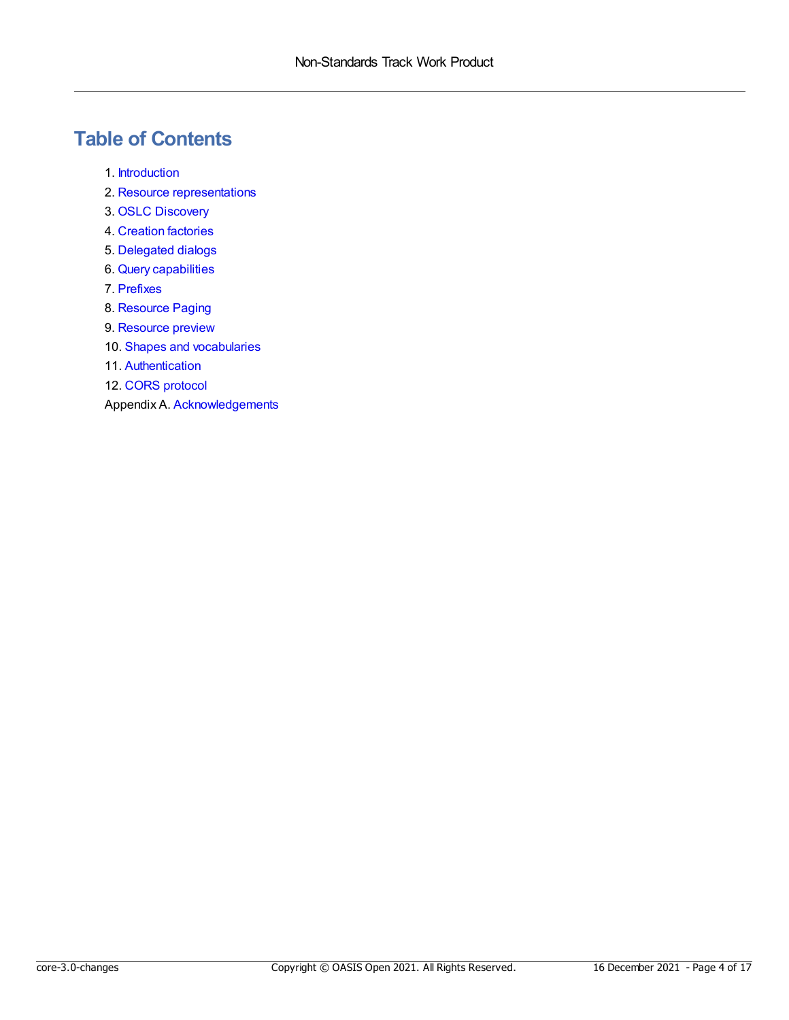### **Table of Contents**

- 1. [Introduction](#page-4-0)
- 2. Resource [representations](#page-5-0)
- 3. OSLC [Discovery](#page-6-0)
- 4. [Creation](#page-7-0) factories
- 5. [Delegated](#page-8-0) dialogs
- 6. Query [capabilities](#page-9-0)
- 7. [Prefixes](#page-10-0)
- 8. [Resource](#page-11-0) Paging
- 9. [Resource](#page-12-0) preview
- 10. Shapes and [vocabularies](#page-13-0)
- 11. [Authentication](#page-14-0)
- 12. CORS [protocol](#page-15-0)

Appendix A. [Acknowledgements](#page-16-0)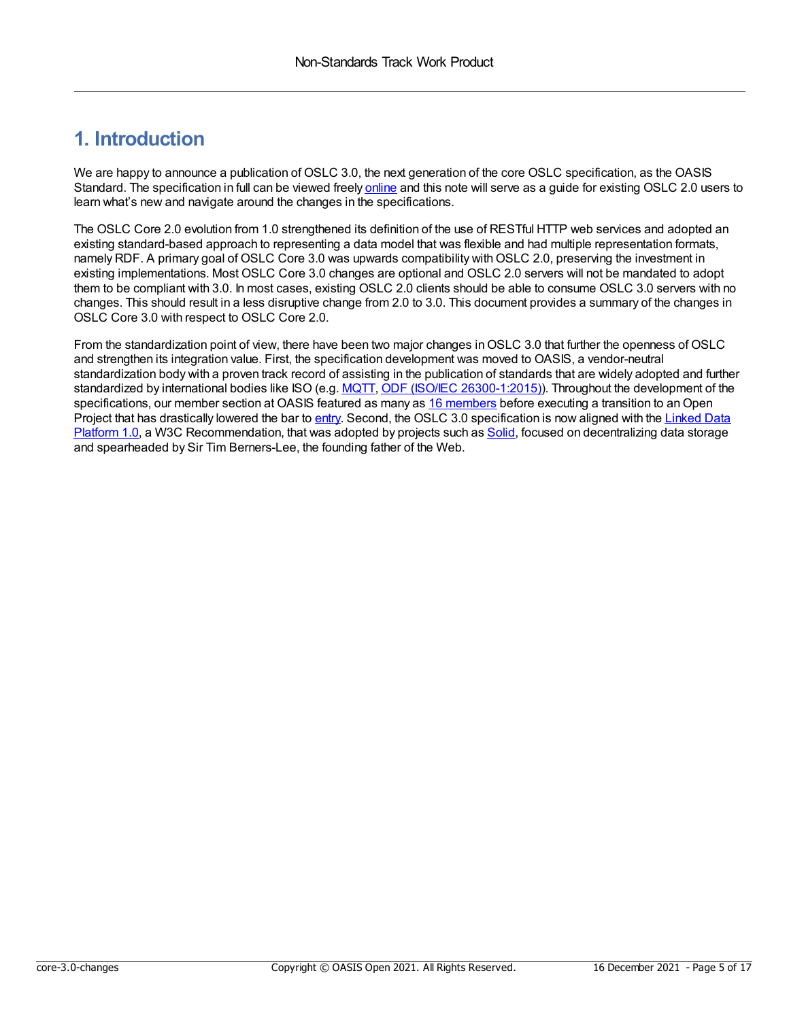#### <span id="page-4-0"></span>**1. Introduction**

We are happy to announce a publication of OSLC 3.0, the next generation of the core OSLC specification, as the OASIS Standard. The specification in full can be viewed freely [online](https://docs.oasis-open-projects.org/oslc-op/core/v3.0/os/oslc-core.html) and this note will serve as a guide for existing OSLC 2.0 users to learn what's new and navigate around the changes in the specifications.

The OSLC Core 2.0 evolution from 1.0 strengthened its definition of the use of RESTful HTTP web services and adopted an existing standard-based approach to representing a data model that was flexible and had multiple representation formats, namely RDF. A primary goal of OSLC Core 3.0 was upwards compatibility withOSLC 2.0, preserving the investment in existing implementations. Most OSLC Core 3.0 changes are optional and OSLC 2.0 servers will not be mandated to adopt them to be compliant with 3.0. In most cases, existing OSLC 2.0 clients should be able to consume OSLC 3.0 servers with no changes. This should result in a less disruptive change from 2.0 to 3.0. This document provides a summary of the changes in OSLC Core 3.0 with respect to OSLC Core 2.0.

From the standardization point of view, there have been two major changes in OSLC 3.0 that further the openness of OSLC and strengthen its integration value. First, the specification development was moved to OASIS, a vendor-neutral standardization body with a proven track record of assisting in the publication of standards that are widely adopted and further standardized by international bodies like ISO (e.g. [MQTT](https://docs.oasis-open.org/mqtt/mqtt/v5.0/mqtt-v5.0.html), ODF (ISO/IEC [26300-1:2015\)](https://www.oasis-open.org/committees/tc_home.php?wg_abbrev=office)). Throughout the development of the specifications, our member section at OASIS featured as many as 16 [members](https://web.archive.org/web/20170814105435/http://www.oasis-oslc.org:80/members) before executing a transition to an Open Project that has drastically lowered the bar to [entry](https://github.com/oslc-op/oslc-admin/blob/master/CONTRIBUTING.md). Second, the OSLC 3.0 specification is now aligned with the Linked Data Platform 1.0, a W3C [Recommendation,](https://www.w3.org/TR/ldp/) that was adopted by projects such as [Solid](https://solidproject.org/), focused on decentralizing data storage and spearheaded by Sir Tim Berners-Lee, the founding father of the Web.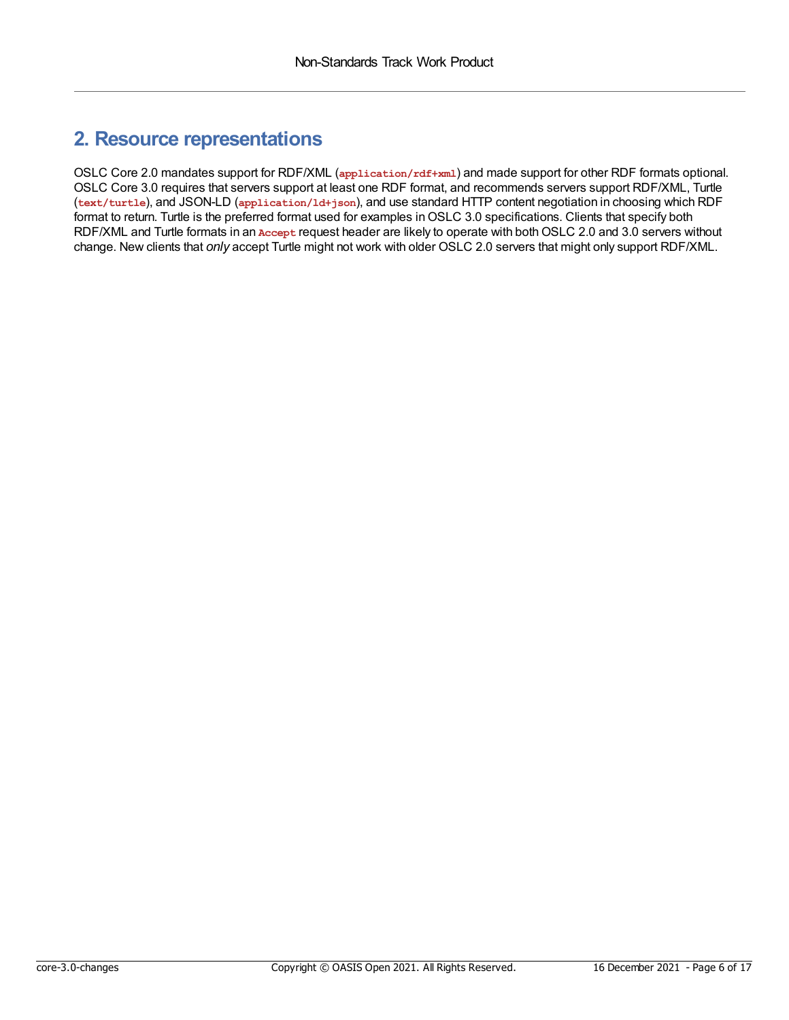#### <span id="page-5-0"></span>**2. Resource representations**

OSLC Core 2.0 mandates support for RDF/XML (**application/rdf+xml**) and made support for other RDF formats optional. OSLC Core 3.0 requires that servers support at least one RDF format, and recommends servers support RDF/XML, Turtle (**text/turtle**), and JSON-LD (**application/ld+json**), and use standard HTTP content negotiation in choosing which RDF format to return. Turtle is the preferred format used for examples in OSLC 3.0 specifications. Clients that specify both RDF/XML and Turtle formats in an **Accept** request header are likely to operate with bothOSLC 2.0 and 3.0 servers without change. New clients that *only* accept Turtle might not work with older OSLC 2.0 servers that might only support RDF/XML.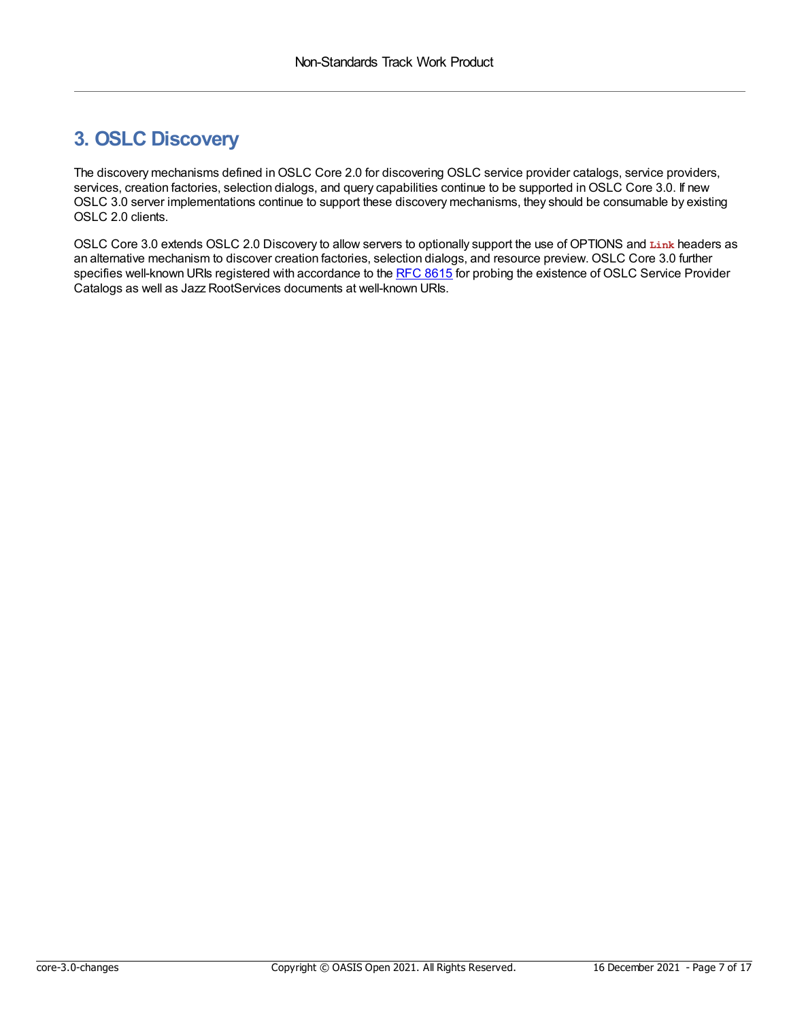### <span id="page-6-0"></span>**3. OSLC Discovery**

The discovery mechanisms defined inOSLC Core 2.0 for discovering OSLC service provider catalogs, service providers, services, creation factories, selection dialogs, and query capabilities continue to be supported in OSLC Core 3.0. If new OSLC 3.0 server implementations continue to support these discovery mechanisms, they should be consumable by existing OSLC 2.0 clients.

OSLC Core 3.0 extends OSLC 2.0 Discovery to allow servers to optionally support the use of OPTIONS and **Link** headers as an alternative mechanism to discover creation factories, selection dialogs, and resource preview. OSLC Core 3.0 further specifies well-known URIs registered with accordance to the RFC [8615](https://datatracker.ietf.org/doc/html/rfc8615) for probing the existence of OSLC Service Provider Catalogs as well as Jazz RootServices documents at well-known URIs.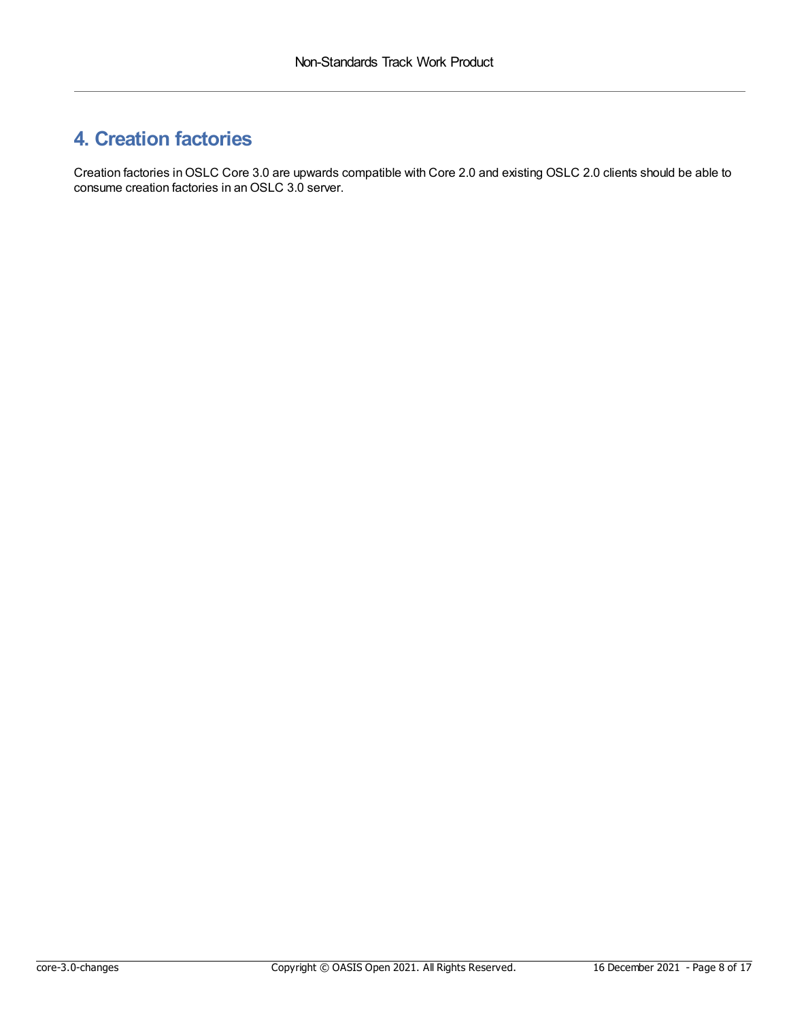### <span id="page-7-0"></span>**4. Creation factories**

Creation factories inOSLC Core 3.0 are upwards compatible with Core 2.0 and existing OSLC 2.0 clients should be able to consume creation factories in anOSLC 3.0 server.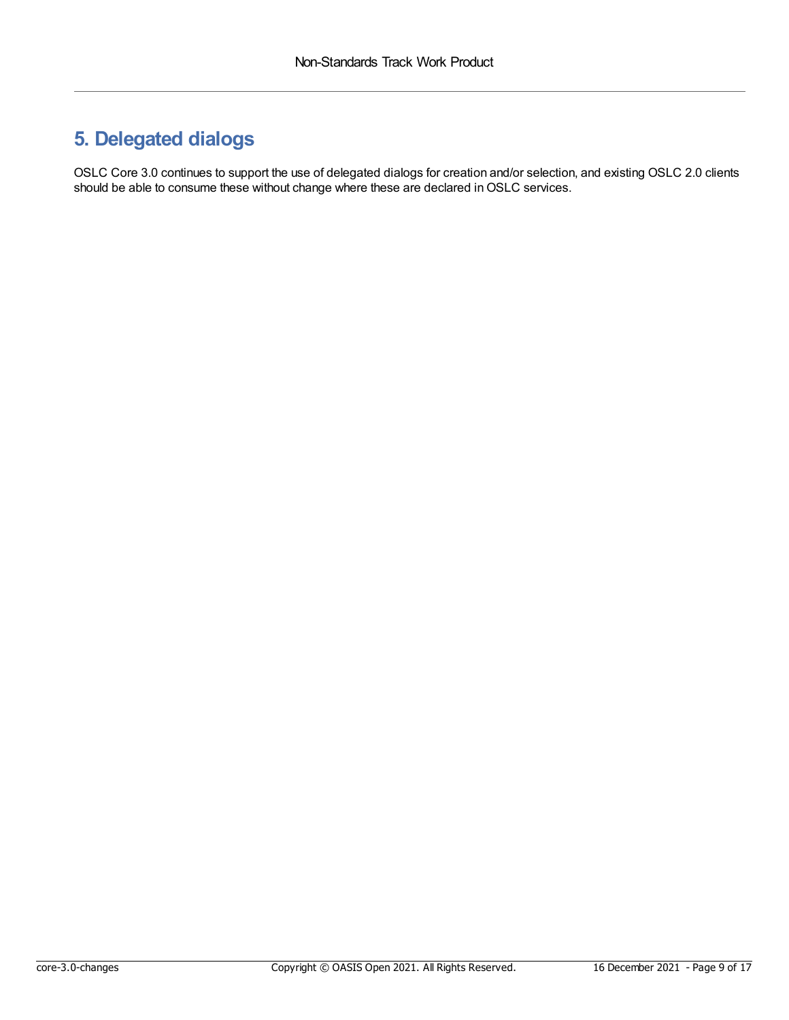### <span id="page-8-0"></span>**5. Delegated dialogs**

OSLC Core 3.0 continues to support the use of delegated dialogs for creation and/or selection, and existing OSLC 2.0 clients should be able to consume these without change where these are declared in OSLC services.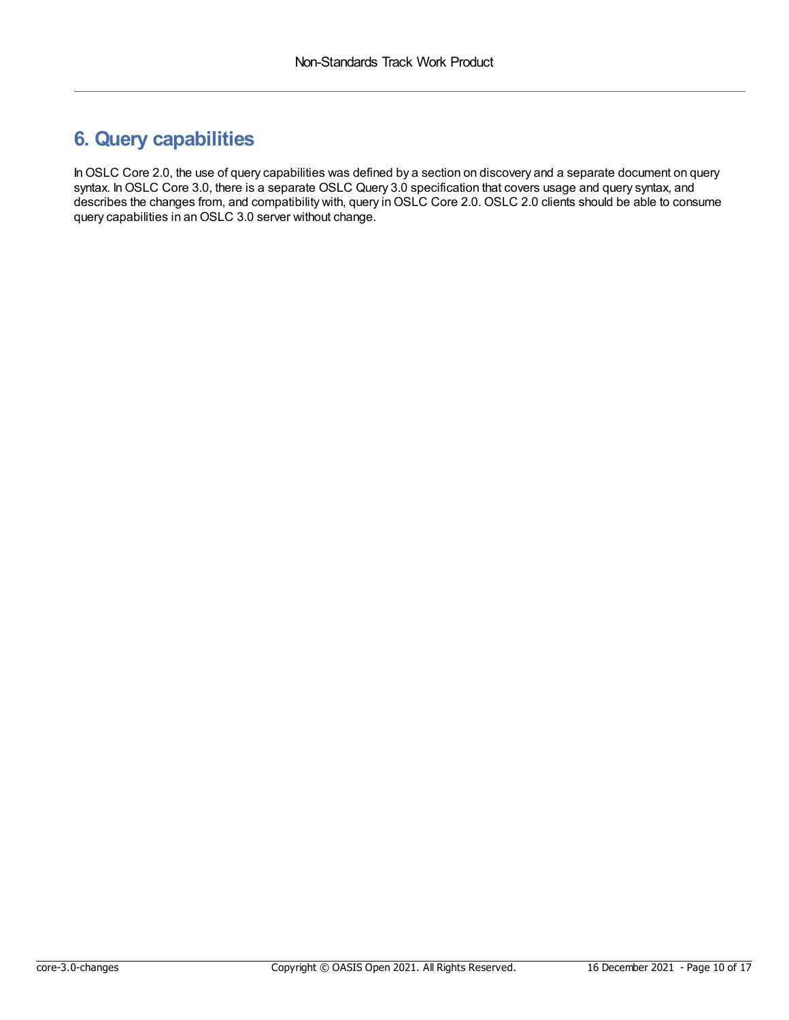### <span id="page-9-0"></span>**6. Query capabilities**

In OSLC Core 2.0, the use of query capabilities was defined by a section on discovery and a separate document on query syntax. InOSLC Core 3.0, there is a separate OSLC Query 3.0 specification that covers usage and query syntax, and describes the changes from, and compatibility with, query in OSLC Core 2.0. OSLC 2.0 clients should be able to consume query capabilities in anOSLC 3.0 server without change.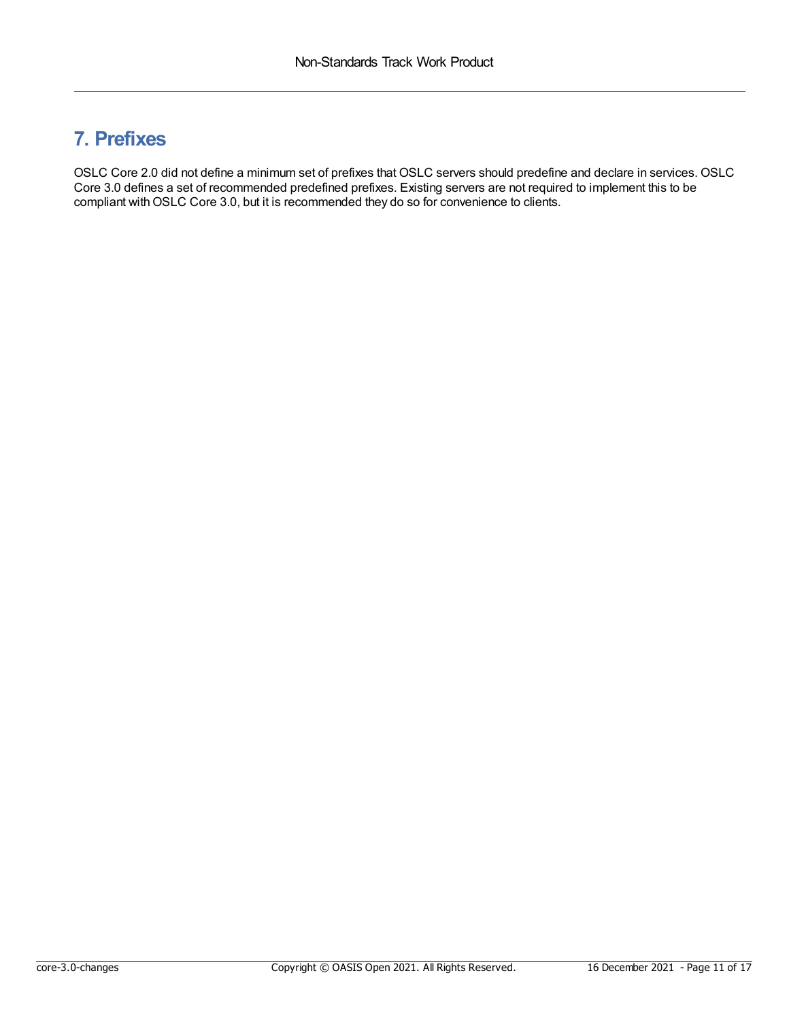#### <span id="page-10-0"></span>**7. Prefixes**

OSLC Core 2.0 did not define a minimum set of prefixes that OSLC servers should predefine and declare in services. OSLC Core 3.0 defines a set of recommended predefined prefixes. Existing servers are not required to implement this to be compliant with OSLC Core 3.0, but it is recommended they do so for convenience to clients.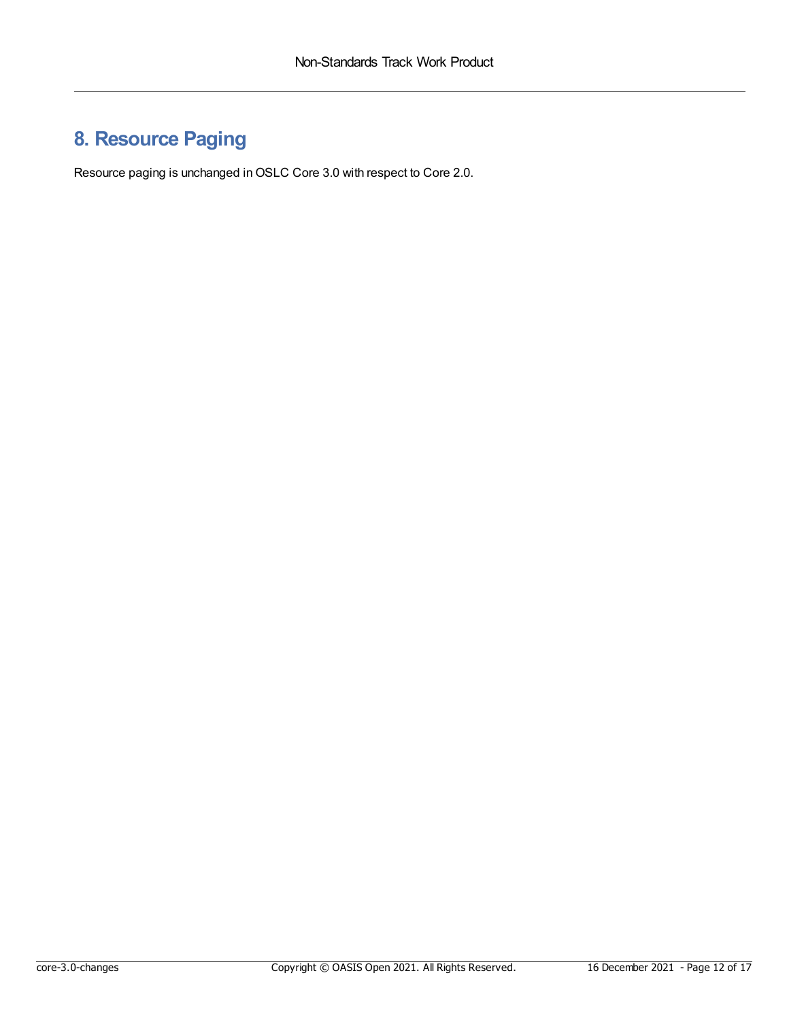### <span id="page-11-0"></span>**8. Resource Paging**

Resource paging is unchanged in OSLC Core 3.0 with respect to Core 2.0.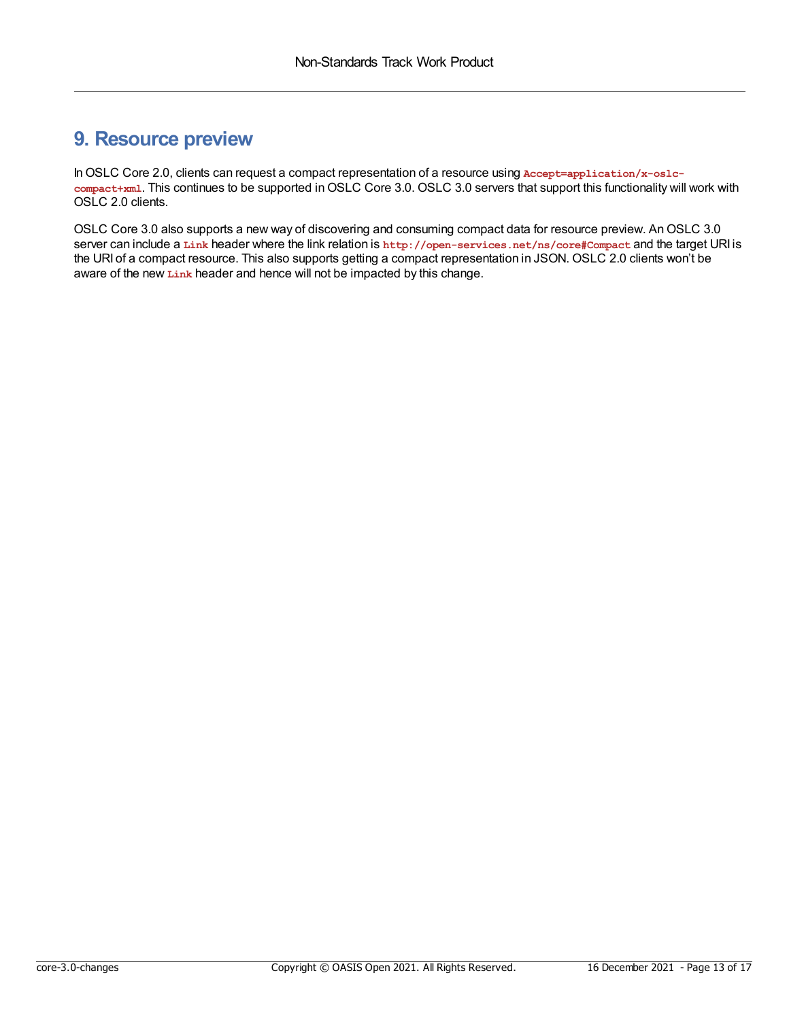#### <span id="page-12-0"></span>**9. Resource preview**

InOSLC Core 2.0, clients can request a compact representation of a resource using **Accept=application/x-oslccompact+xml**. This continues to be supported inOSLC Core 3.0. OSLC 3.0 servers that support this functionality will work with OSLC 2.0 clients.

OSLC Core 3.0 also supports a new way of discovering and consuming compact data for resource preview. An OSLC 3.0 server can include a **Link** header where the link relation is **http://open-services.net/ns/core#Compact** and the target URI is the URI of a compact resource. This also supports getting a compact representation in JSON. OSLC 2.0 clients won't be aware of the new **Link** header and hence will not be impacted by this change.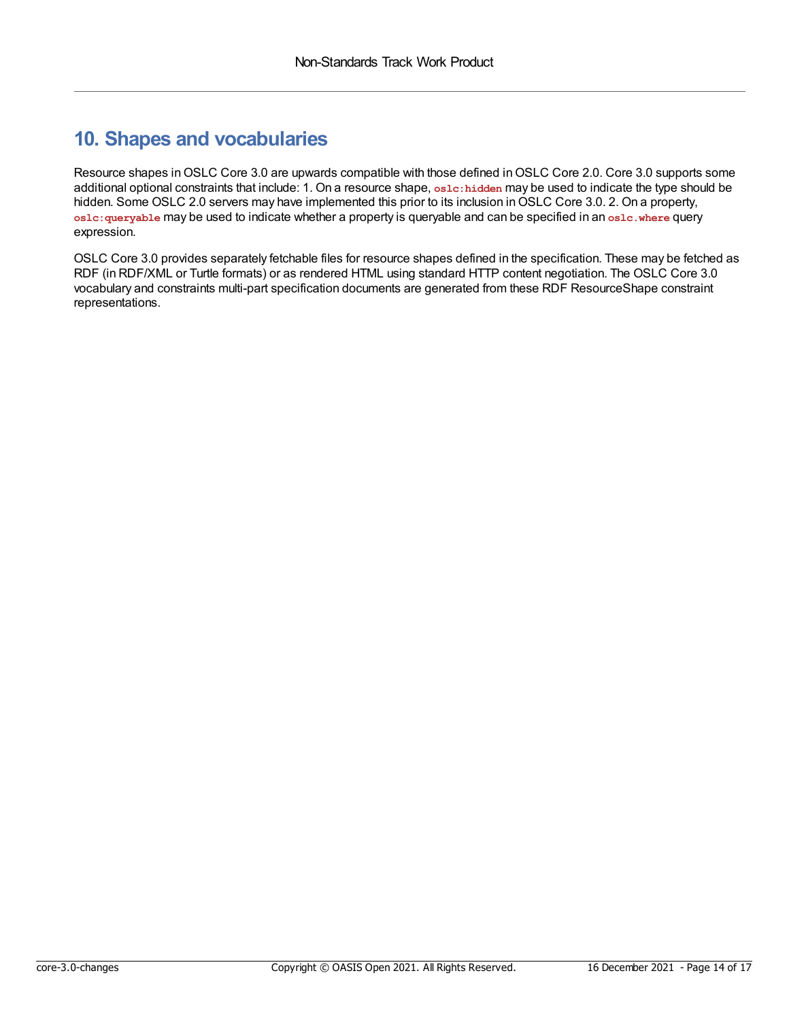#### <span id="page-13-0"></span>**10. Shapes and vocabularies**

Resource shapes in OSLC Core 3.0 are upwards compatible with those defined in OSLC Core 2.0. Core 3.0 supports some additional optional constraints that include: 1. On a resource shape, **oslc:hidden** may be used to indicate the type should be hidden. Some OSLC 2.0 servers may have implemented this prior to its inclusion in OSLC Core 3.0. 2. On a property, **oslc:queryable** may be used to indicate whether a property is queryable and can be specified in an **oslc.where** query expression.

OSLC Core 3.0 provides separately fetchable files for resource shapes defined in the specification. These may be fetched as RDF (in RDF/XML or Turtle formats) or as rendered HTML using standard HTTP content negotiation. The OSLC Core 3.0 vocabulary and constraints multi-part specification documents are generated from these RDF ResourceShape constraint representations.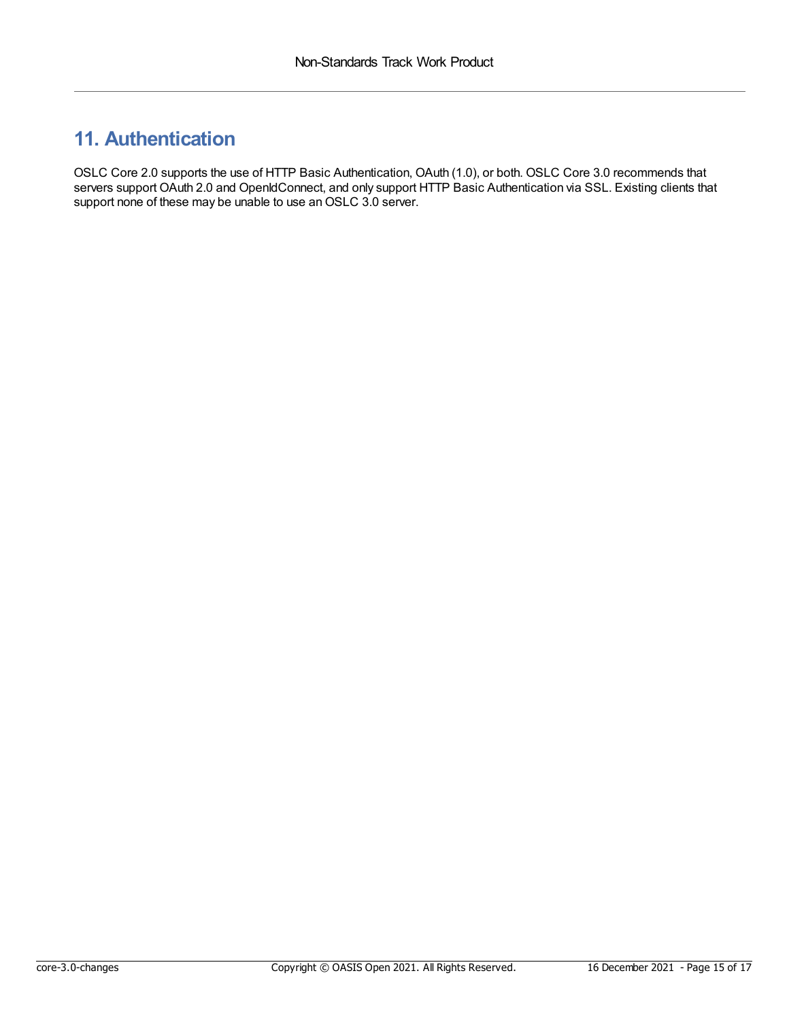### <span id="page-14-0"></span>**11. Authentication**

OSLC Core 2.0 supports the use of HTTP Basic Authentication, OAuth (1.0), or both. OSLC Core 3.0 recommends that servers support OAuth 2.0 and OpenIdConnect, and only support HTTP Basic Authentication via SSL. Existing clients that support none of these may be unable to use an OSLC 3.0 server.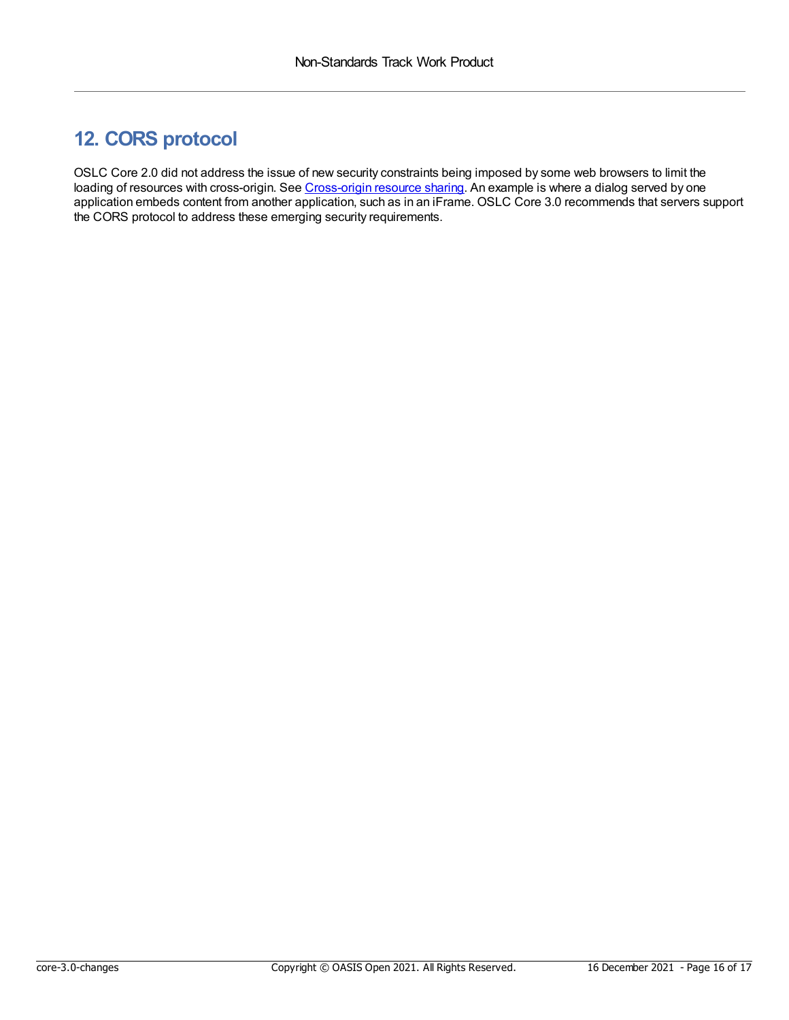### <span id="page-15-0"></span>**12. CORS protocol**

OSLC Core 2.0 did not address the issue of new security constraints being imposed by some web browsers to limit the loading of resources with cross-origin. See [Cross-origin](https://en.wikipedia.org/wiki/Cross-origin_resource_sharing) resource sharing. An example is where a dialog served by one application embeds content from another application, such as in an iFrame. OSLC Core 3.0 recommends that servers support the CORS protocol to address these emerging security requirements.